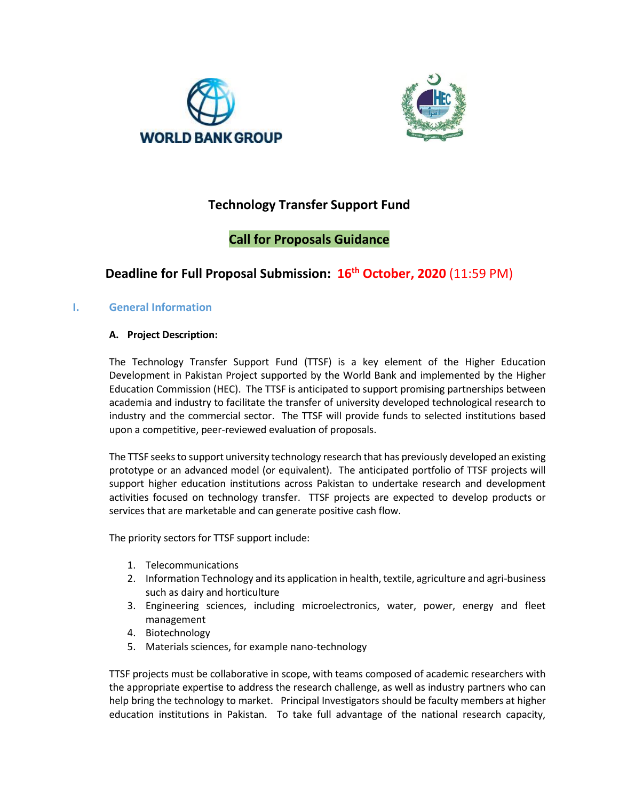



# **Technology Transfer Support Fund**

# **Call for Proposals Guidance**

# **Deadline for Full Proposal Submission: 16th October, 2020** (11:59 PM)

### **I. General Information**

#### **A. Project Description:**

The Technology Transfer Support Fund (TTSF) is a key element of the Higher Education Development in Pakistan Project supported by the World Bank and implemented by the Higher Education Commission (HEC). The TTSF is anticipated to support promising partnerships between academia and industry to facilitate the transfer of university developed technological research to industry and the commercial sector. The TTSF will provide funds to selected institutions based upon a competitive, peer-reviewed evaluation of proposals.

The TTSF seeks to support university technology research that has previously developed an existing prototype or an advanced model (or equivalent). The anticipated portfolio of TTSF projects will support higher education institutions across Pakistan to undertake research and development activities focused on technology transfer. TTSF projects are expected to develop products or services that are marketable and can generate positive cash flow.

The priority sectors for TTSF support include:

- 1. Telecommunications
- 2. Information Technology and its application in health, textile, agriculture and agri-business such as dairy and horticulture
- 3. Engineering sciences, including microelectronics, water, power, energy and fleet management
- 4. Biotechnology
- 5. Materials sciences, for example nano-technology

TTSF projects must be collaborative in scope, with teams composed of academic researchers with the appropriate expertise to address the research challenge, as well as industry partners who can help bring the technology to market. Principal Investigators should be faculty members at higher education institutions in Pakistan. To take full advantage of the national research capacity,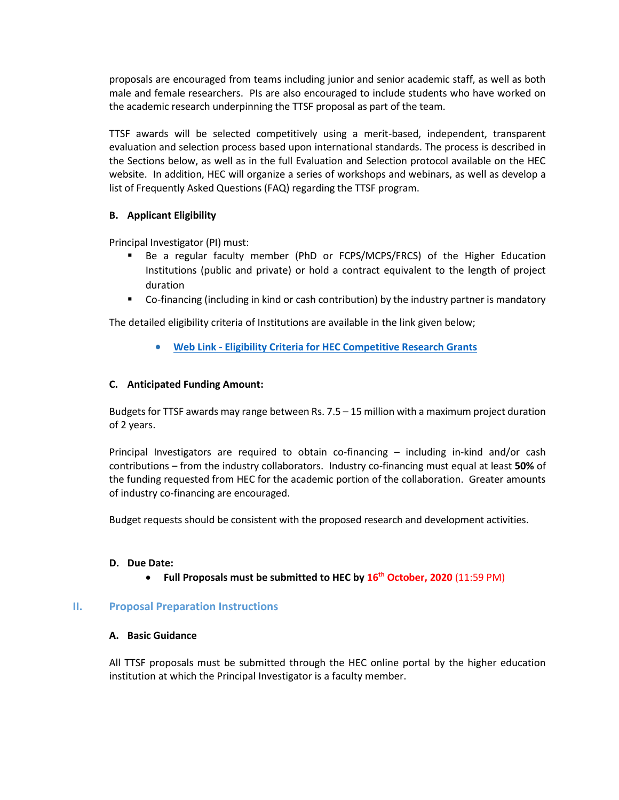proposals are encouraged from teams including junior and senior academic staff, as well as both male and female researchers. PIs are also encouraged to include students who have worked on the academic research underpinning the TTSF proposal as part of the team.

TTSF awards will be selected competitively using a merit-based, independent, transparent evaluation and selection process based upon international standards. The process is described in the Sections below, as well as in the full Evaluation and Selection protocol available on the HEC website. In addition, HEC will organize a series of workshops and webinars, as well as develop a list of Frequently Asked Questions (FAQ) regarding the TTSF program.

### **B. Applicant Eligibility**

Principal Investigator (PI) must:

- Be a regular faculty member (PhD or FCPS/MCPS/FRCS) of the Higher Education Institutions (public and private) or hold a contract equivalent to the length of project duration
- Co-financing (including in kind or cash contribution) by the industry partner is mandatory

The detailed eligibility criteria of Institutions are available in the link given below;

**Web Link - [Eligibility Criteria for HEC Competitive Research Grants](https://www.hec.gov.pk/english/services/faculty/TTSF/Documents/Notification%20-%20Eligibility%20for%20HEC%20Competitive%20Research%20Grants.pdf)**

### **C. Anticipated Funding Amount:**

Budgets for TTSF awards may range between Rs. 7.5 – 15 million with a maximum project duration of 2 years.

Principal Investigators are required to obtain co-financing – including in-kind and/or cash contributions – from the industry collaborators. Industry co-financing must equal at least **50%** of the funding requested from HEC for the academic portion of the collaboration. Greater amounts of industry co-financing are encouraged.

Budget requests should be consistent with the proposed research and development activities.

#### **D. Due Date:**

**Full Proposals must be submitted to HEC by 16th October, 2020** (11:59 PM)

#### **II. Proposal Preparation Instructions**

#### **A. Basic Guidance**

All TTSF proposals must be submitted through the HEC online portal by the higher education institution at which the Principal Investigator is a faculty member.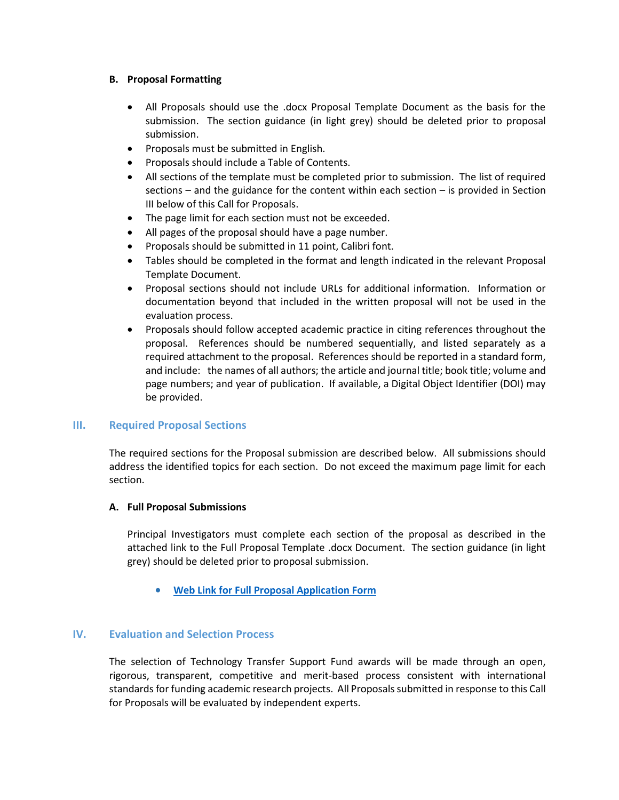#### **B. Proposal Formatting**

- All Proposals should use the .docx Proposal Template Document as the basis for the submission. The section guidance (in light grey) should be deleted prior to proposal submission.
- Proposals must be submitted in English.
- Proposals should include a Table of Contents.
- All sections of the template must be completed prior to submission. The list of required sections – and the guidance for the content within each section – is provided in Section III below of this Call for Proposals.
- The page limit for each section must not be exceeded.
- All pages of the proposal should have a page number.
- Proposals should be submitted in 11 point, Calibri font.
- Tables should be completed in the format and length indicated in the relevant Proposal Template Document.
- Proposal sections should not include URLs for additional information. Information or documentation beyond that included in the written proposal will not be used in the evaluation process.
- Proposals should follow accepted academic practice in citing references throughout the proposal. References should be numbered sequentially, and listed separately as a required attachment to the proposal. References should be reported in a standard form, and include: the names of all authors; the article and journal title; book title; volume and page numbers; and year of publication. If available, a Digital Object Identifier (DOI) may be provided.

#### **III. Required Proposal Sections**

The required sections for the Proposal submission are described below. All submissions should address the identified topics for each section. Do not exceed the maximum page limit for each section.

#### **A. Full Proposal Submissions**

Principal Investigators must complete each section of the proposal as described in the attached link to the Full Proposal Template .docx Document. The section guidance (in light grey) should be deleted prior to proposal submission.

**[Web Link for Full Proposal Application Form](https://www.hec.gov.pk/english/services/faculty/TTSF/Documents/Full%20Proposal%20Template%20-%20TTSF.docx)**

#### **IV. Evaluation and Selection Process**

The selection of Technology Transfer Support Fund awards will be made through an open, rigorous, transparent, competitive and merit-based process consistent with international standards for funding academic research projects. All Proposals submitted in response to this Call for Proposals will be evaluated by independent experts.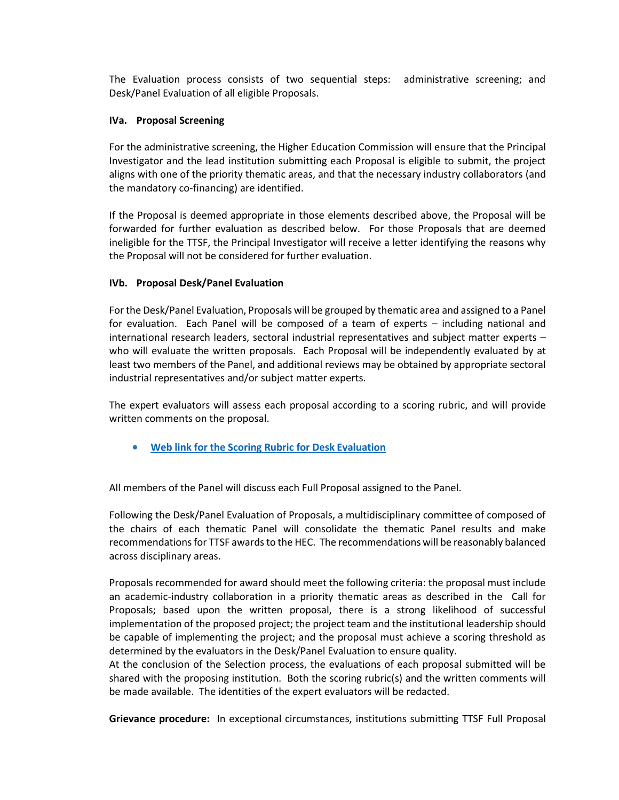The Evaluation process consists of two sequential steps: administrative screening; and Desk/Panel Evaluation of all eligible Proposals.

#### **IVa. Proposal Screening**

For the administrative screening, the Higher Education Commission will ensure that the Principal Investigator and the lead institution submitting each Proposal is eligible to submit, the project aligns with one of the priority thematic areas, and that the necessary industry collaborators (and the mandatory co-financing) are identified.

If the Proposal is deemed appropriate in those elements described above, the Proposal will be forwarded for further evaluation as described below. For those Proposals that are deemed ineligible for the TTSF, the Principal Investigator will receive a letter identifying the reasons why the Proposal will not be considered for further evaluation.

#### **IVb. Proposal Desk/Panel Evaluation**

For the Desk/Panel Evaluation, Proposals will be grouped by thematic area and assigned to a Panel for evaluation. Each Panel will be composed of a team of experts – including national and international research leaders, sectoral industrial representatives and subject matter experts – who will evaluate the written proposals. Each Proposal will be independently evaluated by at least two members of the Panel, and additional reviews may be obtained by appropriate sectoral industrial representatives and/or subject matter experts.

The expert evaluators will assess each proposal according to a scoring rubric, and will provide written comments on the proposal.

**[Web link for the Scoring Rubric for Desk](https://www.hec.gov.pk/english/services/faculty/TTSF/Documents/Evaluation%20Rubrics%20For%20Desk%20Evaluation%20-TTSF.pdf) Evaluation**

All members of the Panel will discuss each Full Proposal assigned to the Panel.

Following the Desk/Panel Evaluation of Proposals, a multidisciplinary committee of composed of the chairs of each thematic Panel will consolidate the thematic Panel results and make recommendations for TTSF awards to the HEC. The recommendations will be reasonably balanced across disciplinary areas.

Proposals recommended for award should meet the following criteria: the proposal must include an academic-industry collaboration in a priority thematic areas as described in the Call for Proposals; based upon the written proposal, there is a strong likelihood of successful implementation of the proposed project; the project team and the institutional leadership should be capable of implementing the project; and the proposal must achieve a scoring threshold as determined by the evaluators in the Desk/Panel Evaluation to ensure quality.

At the conclusion of the Selection process, the evaluations of each proposal submitted will be shared with the proposing institution. Both the scoring rubric(s) and the written comments will be made available. The identities of the expert evaluators will be redacted.

**Grievance procedure:** In exceptional circumstances, institutions submitting TTSF Full Proposal